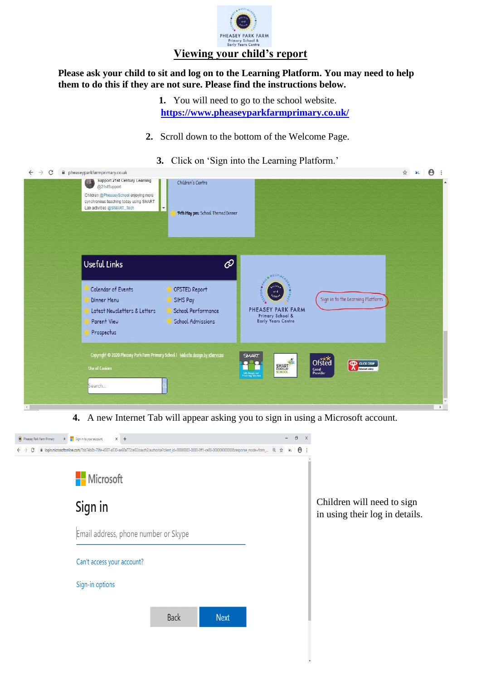

## **Please ask your child to sit and log on to the Learning Platform. You may need to help them to do this if they are not sure. Please find the instructions below.**

**1.** You will need to go to the school website. **<https://www.pheaseyparkfarmprimary.co.uk/>**

- **2.** Scroll down to the bottom of the Welcome Page.
	- **3.** Click on 'Sign into the Learning Platform.'

| $\rightarrow$<br>C | pheaseyparkfarmprimary.co.uk                                                                                                                                                        |                                                        |                                               |                                            | ☆ 34 日 |
|--------------------|-------------------------------------------------------------------------------------------------------------------------------------------------------------------------------------|--------------------------------------------------------|-----------------------------------------------|--------------------------------------------|--------|
|                    | Support 21st Century Learning<br>$\mathbb{C}$<br>@21stSupport<br>Children @PheaseySchool enjoying more<br>synchronous teaching today using SMART<br>Lab activities @SMART_Tech<br>۳ | Children's Centre<br>14th May pm: School Themed Dinner |                                               |                                            |        |
|                    | Useful Links                                                                                                                                                                        | $\mathcal{O}$                                          |                                               |                                            |        |
|                    |                                                                                                                                                                                     |                                                        | MULTI-4                                       |                                            |        |
|                    | Calendar of Events                                                                                                                                                                  | OFSTED Report                                          | action<br>and<br>$q_{\rm{chick}}$             |                                            |        |
|                    | Dinner Menu<br>Latest Newsletters & Letters                                                                                                                                         | SIMS Pay<br>School Performance                         | PHEASEY PARK FARM                             | Sign in to the Learning Platform           |        |
|                    | Parent View                                                                                                                                                                         | <b>School Admissions</b>                               | Primary School &<br>Early Years Centre        |                                            |        |
|                    | Prospectus                                                                                                                                                                          |                                                        |                                               |                                            |        |
|                    | Copyright @ 2020 Pheasey Park Farm Primary School   Website design by eServices                                                                                                     |                                                        | SMART.                                        | Ofsted                                     |        |
|                    | <b>Use of Cookies</b>                                                                                                                                                               |                                                        | SMART<br><b>UK Regional</b><br>Training Centr | <b>Experience CEOP</b><br>Good<br>Provider |        |
|                    | Search                                                                                                                                                                              |                                                        |                                               |                                            |        |
|                    |                                                                                                                                                                                     |                                                        |                                               |                                            |        |

**4.** A new Internet Tab will appear asking you to sign in using a Microsoft account.

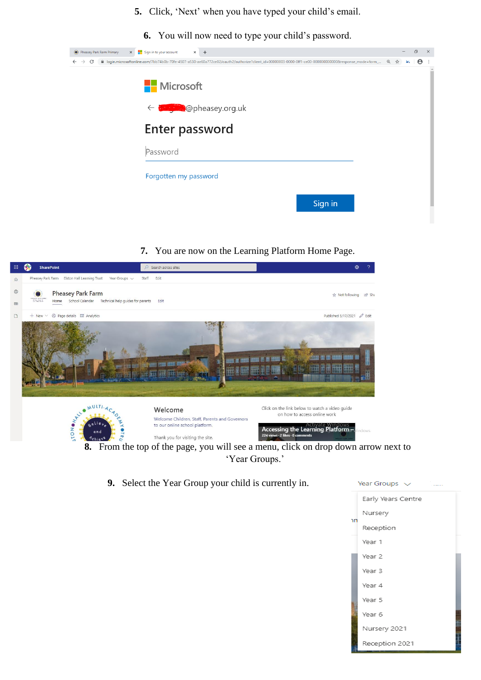- **5.** Click, 'Next' when you have typed your child's email.
	- **6.** You will now need to type your child's password.

|              |                    | Pheasey Park Farm Primary | $\times$ $\blacksquare$ Sign in to your account | $\times$ + |                                                                                                                                                             |  |     | σ                     | $\times$ |
|--------------|--------------------|---------------------------|-------------------------------------------------|------------|-------------------------------------------------------------------------------------------------------------------------------------------------------------|--|-----|-----------------------|----------|
| $\leftarrow$ | C<br>$\rightarrow$ |                           |                                                 |            | ■ login.microsoftonline.com/7bb74b0b-70fe-4507-a530-ae60a772ce02/oauth2/authorize?client_id=00000003-0000-0ff1-ce00-0000000000000008response_mode=form_ @ ☆ |  | ac. | $\boldsymbol{\Theta}$ |          |
|              |                    |                           | <b>Nicrosoft</b>                                |            |                                                                                                                                                             |  |     |                       |          |
|              |                    |                           |                                                 |            | ← <del>Sange</del> @pheasey.org.uk                                                                                                                          |  |     |                       |          |
|              |                    |                           |                                                 |            | <b>Enter password</b>                                                                                                                                       |  |     |                       |          |
|              |                    |                           | Password                                        |            |                                                                                                                                                             |  |     |                       |          |
|              |                    |                           | Forgotten my password                           |            |                                                                                                                                                             |  |     |                       |          |
|              |                    |                           |                                                 |            | Sign in                                                                                                                                                     |  |     |                       |          |

## **7.** You are now on the Learning Platform Home Page.



**9.** Select the Year Group your child is currently in.

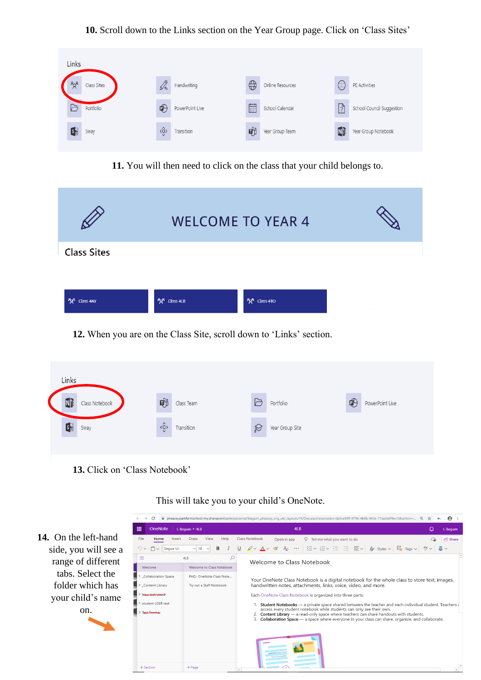## **10.** Scroll down to the Links section on the Year Group page. Click on 'Class Sites'

| Links |             |                           |                 |             |                  |             |                           |
|-------|-------------|---------------------------|-----------------|-------------|------------------|-------------|---------------------------|
|       | Class Sites | Dr,                       | Handwriting     | $\bigoplus$ | Online Resources | $\bigcirc$  | PE Activities             |
|       | Portfolio   | 吧                         | PowerPoint Live | 匾           | School Calendar  | $\boxed{?}$ | School Council Suggestion |
| G     | Sway        | $\langle \hat{Q} \rangle$ | Transition      | 動           | Year Group Team  | Nj          | Year Group Notebook       |

**11.** You will then need to click on the class that your child belongs to.

|                                   |              | <b>WELCOME TO YEAR 4</b> |  |
|-----------------------------------|--------------|--------------------------|--|
| <b>Class Sites</b>                |              |                          |  |
|                                   |              |                          |  |
| <i>የ</i> ኢ <sup>ዩ</sup> Class 4AY | he Class 4LB | hat Class 4TO            |  |
|                                   |              |                          |  |

**12.** When you are on the Class Site, scroll down to 'Links' section.

| Links          |                |                                 |            |           |                 |   |                 |
|----------------|----------------|---------------------------------|------------|-----------|-----------------|---|-----------------|
| N <sub>1</sub> | Class Notebook | 動                               | Class Team | G         | Portfolio       | 吧 | PowerPoint Live |
| $\mathbf{G}$   | Sway           | $\langle \hat{\varrho} \rangle$ | Transition | $\otimes$ | Year Group Site |   |                 |
|                |                |                                 |            |           |                 |   |                 |

**13.** Click on 'Class Notebook'

 $\xi \leftrightarrow G$  a pheaseyparkfarmschool-my.sharepoint.com/personal/lbegum\_pheasey\_org\_uk/\_layouts/15/Doc.aspx?sourcedoc=(e3ce80ff-0796-4b8b-843e-77aa2a6f9ec1)&action=... Q  $\star$  3c  $\bigcirc$  $\frac{111}{111}$  OneNote | L Begum > 4LB  $4LB$  $Q$  L Begun Home Insert Draw View Help **14.** On the left-hand Open in app  $Q$  Tell me what you want to do File Class Notebook  $\bigcirc$   $\bigcirc$  Share side, you will see a  $9 - 9 - 5$  $\alpha$  $4LB$ range of different Welcome to Class Notebook Welcome to Class Notebook Welcome tabs. Select the Collaboration Space FAQ : OneNote Class Note.. Your OneNote Class Notebook is a digital notebook for the whole class to store text, images, folder which has Content Library Try out a Staff Notebook handwritten notes, attachments, links, voice, video, and more. Each OneNote Class Notebook is organized into three parts: your child's name > student USER test 1. **Student Notebooks** — a private space shared between the teacher and each individual student. Teachers access every student notebook while student aca only see their own.<br>
2. **Content Library** — a read-only space where on. > Test-Teache

 $+$  Page

 $+$  Sectio

This will take you to your child's OneNote.